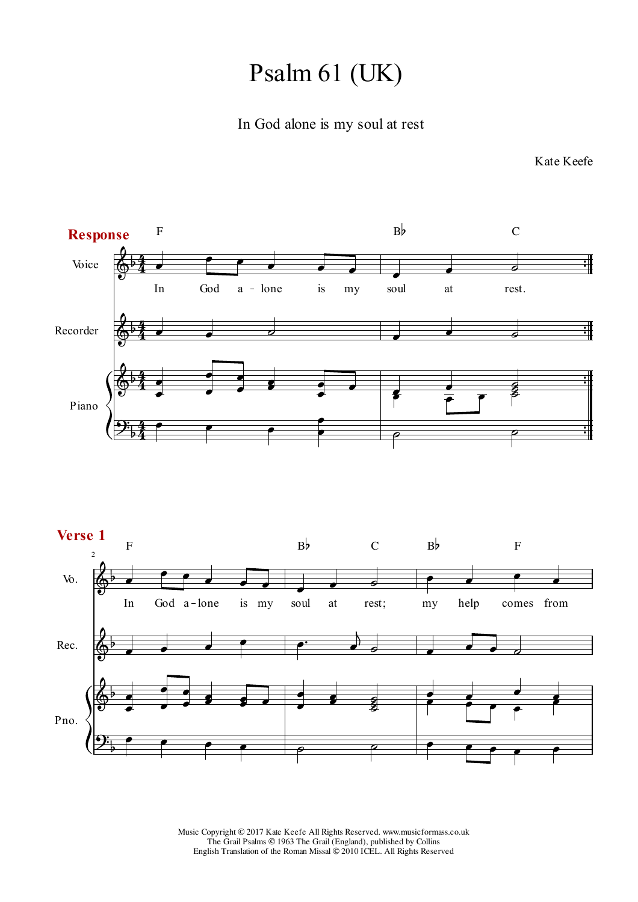## Psalm 61 (UK)

## In God alone is my soul at rest

Kate Keefe



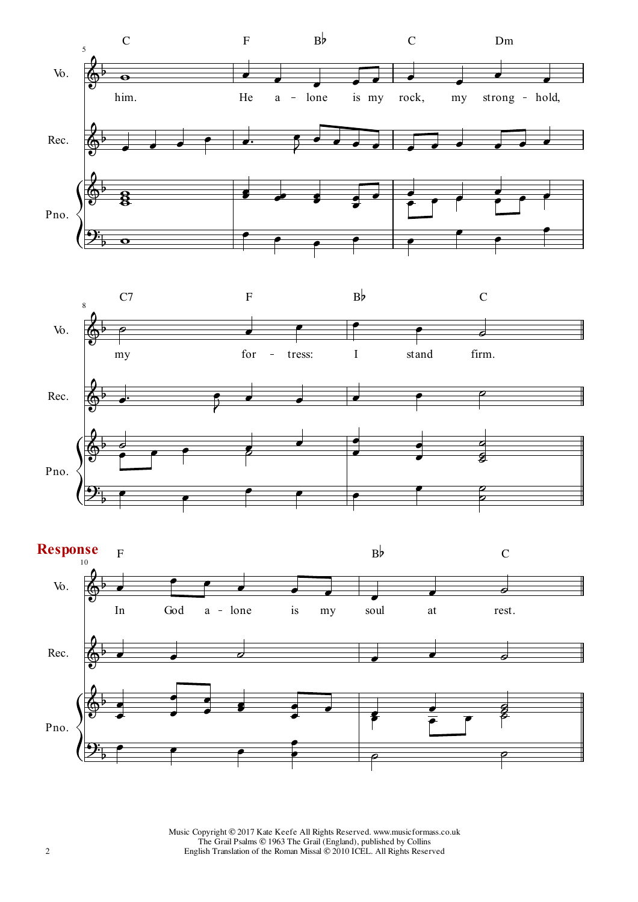



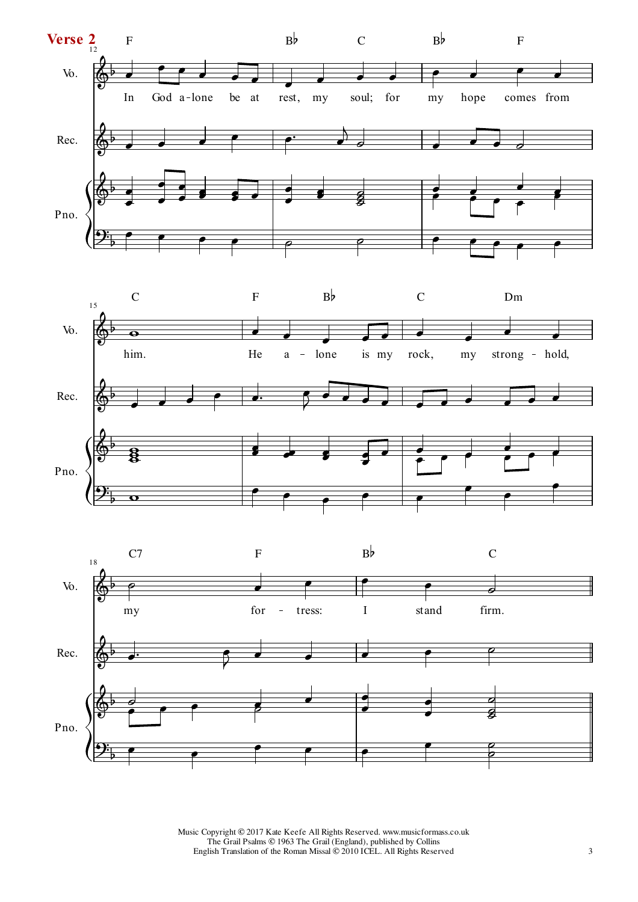



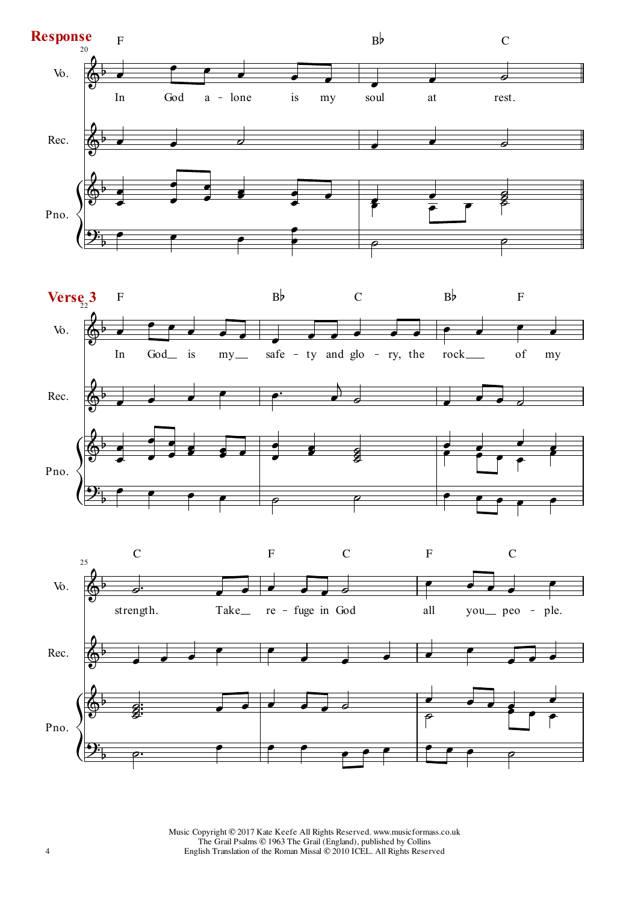